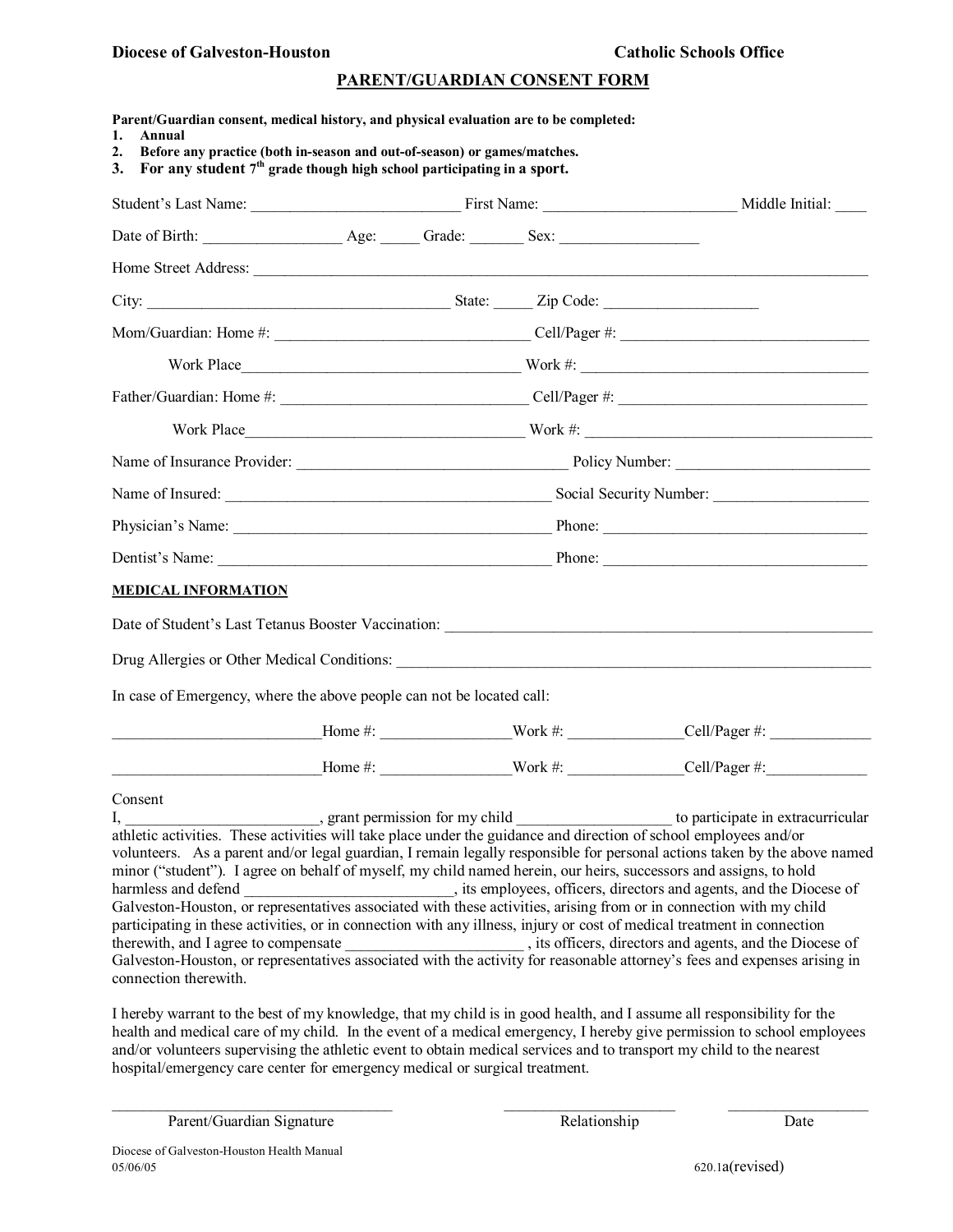### **Diocese** of Galveston-Houston **Catholic Catholic** Schools Office

## **PARENT/GUARDIAN CONSENT FORM**

| Parent/Guardian consent, medical history, and physical evaluation are to be completed:<br>Annual<br>1.<br>Before any practice (both in-season and out-of-season) or games/matches.<br>2.<br>For any student $7th$ grade though high school participating in a sport.<br>3.                                                                                                                                                                                                                                      |  |                                           |
|-----------------------------------------------------------------------------------------------------------------------------------------------------------------------------------------------------------------------------------------------------------------------------------------------------------------------------------------------------------------------------------------------------------------------------------------------------------------------------------------------------------------|--|-------------------------------------------|
|                                                                                                                                                                                                                                                                                                                                                                                                                                                                                                                 |  |                                           |
|                                                                                                                                                                                                                                                                                                                                                                                                                                                                                                                 |  |                                           |
| Home Street Address:                                                                                                                                                                                                                                                                                                                                                                                                                                                                                            |  |                                           |
|                                                                                                                                                                                                                                                                                                                                                                                                                                                                                                                 |  |                                           |
|                                                                                                                                                                                                                                                                                                                                                                                                                                                                                                                 |  |                                           |
| Work Place North Place North Communication of the Work #:                                                                                                                                                                                                                                                                                                                                                                                                                                                       |  |                                           |
|                                                                                                                                                                                                                                                                                                                                                                                                                                                                                                                 |  |                                           |
|                                                                                                                                                                                                                                                                                                                                                                                                                                                                                                                 |  |                                           |
|                                                                                                                                                                                                                                                                                                                                                                                                                                                                                                                 |  |                                           |
|                                                                                                                                                                                                                                                                                                                                                                                                                                                                                                                 |  |                                           |
|                                                                                                                                                                                                                                                                                                                                                                                                                                                                                                                 |  |                                           |
|                                                                                                                                                                                                                                                                                                                                                                                                                                                                                                                 |  |                                           |
| <b>MEDICAL INFORMATION</b>                                                                                                                                                                                                                                                                                                                                                                                                                                                                                      |  |                                           |
|                                                                                                                                                                                                                                                                                                                                                                                                                                                                                                                 |  |                                           |
|                                                                                                                                                                                                                                                                                                                                                                                                                                                                                                                 |  |                                           |
| In case of Emergency, where the above people can not be located call:                                                                                                                                                                                                                                                                                                                                                                                                                                           |  |                                           |
|                                                                                                                                                                                                                                                                                                                                                                                                                                                                                                                 |  |                                           |
|                                                                                                                                                                                                                                                                                                                                                                                                                                                                                                                 |  | Home $\#$ : Work $\#$ : Cell/Pager $\#$ : |
| Consent<br>I,<br>athletic activities. These activities will take place under the guidance and direction of school employees and/or<br>volunteers. As a parent and/or legal guardian, I remain legally responsible for personal actions taken by the above named<br>minor ("student"). I agree on behalf of myself, my child named herein, our heirs, successors and assigns, to hold<br>participating in these activities, or in connection with any illness, injury or cost of medical treatment in connection |  | to participate in extracurricular         |

connection therewith.

I hereby warrant to the best of my knowledge, that my child is in good health, and I assume all responsibility for the health and medical care of my child. In the event of a medical emergency, I hereby give permission to school employees and/or volunteers supervising the athletic event to obtain medical services and to transport my child to the nearest hospital/emergency care center for emergency medical or surgical treatment.

\_\_\_\_\_\_\_\_\_\_\_\_\_\_\_\_\_\_\_\_\_\_\_\_\_\_\_\_\_\_\_\_\_\_\_\_ \_\_\_\_\_\_\_\_\_\_\_\_\_\_\_\_\_\_\_\_\_\_ \_\_\_\_\_\_\_\_\_\_\_\_\_\_\_\_\_\_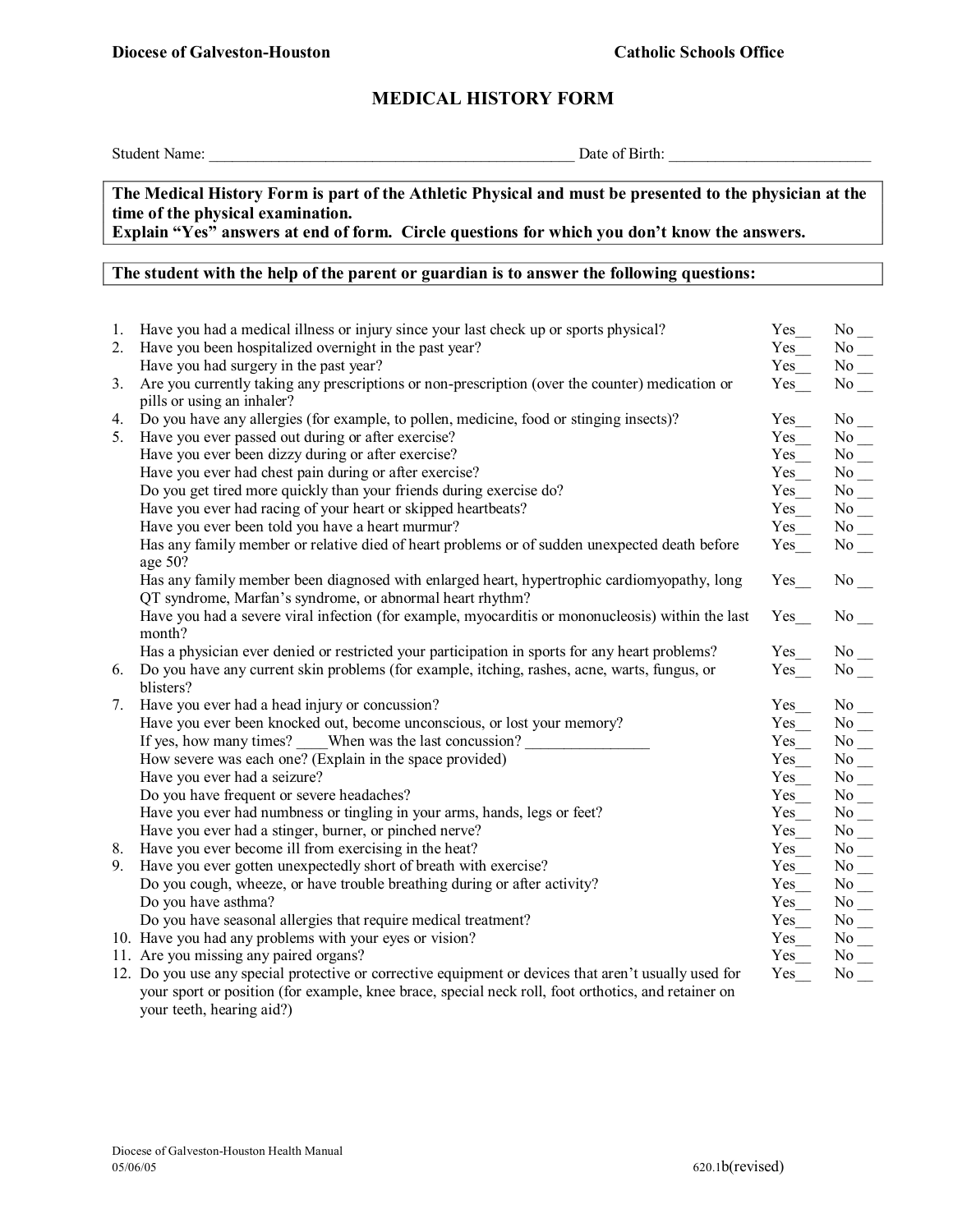# **MEDICAL HISTORY FORM**

Student Name: \_\_\_\_\_\_\_\_\_\_\_\_\_\_\_\_\_\_\_\_\_\_\_\_\_\_\_\_\_\_\_\_\_\_\_\_\_\_\_\_\_\_\_\_\_\_\_ Date of Birth: \_\_\_\_\_\_\_\_\_\_\_\_\_\_\_\_\_\_\_\_\_\_\_\_\_\_

## **The Medical History Form is part of the Athletic Physical and must be presented to the physician at the time of the physical examination.**

**Explain "Yes" answers at end of form. Circle questions for which you don't know the answers.**

# **The student with the help of the parent or guardian is to answer the following questions:**

| 1. | Have you had a medical illness or injury since your last check up or sports physical?                                                                    | Yes_                 | $\mathrm{No}$ $\_$         |
|----|----------------------------------------------------------------------------------------------------------------------------------------------------------|----------------------|----------------------------|
| 2. | Have you been hospitalized overnight in the past year?                                                                                                   | Yes                  | $\mathrm{No}$<br><br>_     |
|    | Have you had surgery in the past year?                                                                                                                   | Yes                  | $\mathrm{No}$ $\_$         |
| 3. | Are you currently taking any prescriptions or non-prescription (over the counter) medication or<br>pills or using an inhaler?                            | Yes                  | $No$ <sub>—</sub>          |
| 4. | Do you have any allergies (for example, to pollen, medicine, food or stinging insects)?                                                                  | $Yes$ <sub>__</sub>  | $No$ <sub>—</sub>          |
| 5. | Have you ever passed out during or after exercise?                                                                                                       | $Yes$ <sub>___</sub> | $\mathrm{No}$ $\_$         |
|    | Have you ever been dizzy during or after exercise?                                                                                                       | $Yes$ <sub>___</sub> | $\mathrm{No}$ $\_$         |
|    | Have you ever had chest pain during or after exercise?                                                                                                   | $Yes$ <sub>___</sub> |                            |
|    | Do you get tired more quickly than your friends during exercise do?                                                                                      | $Yes$ <sub>__</sub>  | $\mathrm{No}$ $\_$         |
|    | Have you ever had racing of your heart or skipped heartbeats?                                                                                            | $Yes$ <sub>__</sub>  | $\mathrm{No}$ $\_$         |
|    | Have you ever been told you have a heart murmur?                                                                                                         | $Yes$ <sub>__</sub>  | $\mathrm{No}$<br><br><br>_ |
|    | Has any family member or relative died of heart problems or of sudden unexpected death before<br>age 50?                                                 | $Yes$ <sub>___</sub> | $No$ <sub>—</sub>          |
|    | Has any family member been diagnosed with enlarged heart, hypertrophic cardiomyopathy, long<br>QT syndrome, Marfan's syndrome, or abnormal heart rhythm? | Yes                  | $No$ <sub>--</sub>         |
|    | Have you had a severe viral infection (for example, myocarditis or mononucleosis) within the last<br>month?                                              | Yes                  | No results                 |
|    | Has a physician ever denied or restricted your participation in sports for any heart problems?                                                           | $Yes$ <sub>__</sub>  | $No$ <sub>—</sub>          |
| 6. | Do you have any current skin problems (for example, itching, rashes, acne, warts, fungus, or                                                             | $Yes$ <sub>__</sub>  | $No$ <sub>—</sub>          |
|    | blisters?                                                                                                                                                |                      |                            |
| 7. | Have you ever had a head injury or concussion?                                                                                                           | $Yes$ <sub>__</sub>  | $No$ <sub>—</sub>          |
|    | Have you ever been knocked out, become unconscious, or lost your memory?                                                                                 | $Yes$ <sub>___</sub> | $No$ <sub>—</sub>          |
|    | If yes, how many times? When was the last concussion?                                                                                                    | $Yes$ <sub>___</sub> | $\mathrm{No}$ $\_$         |
|    | How severe was each one? (Explain in the space provided)                                                                                                 | $Yes$ <sub>__</sub>  | $No$ <sub>—</sub>          |
|    | Have you ever had a seizure?                                                                                                                             | $Yes$ <sub>__</sub>  | $No$ <sub>—</sub>          |
|    | Do you have frequent or severe headaches?                                                                                                                | $Yes$ <sub>__</sub>  | $\mathrm{No}$ $\_$         |
|    | Have you ever had numbness or tingling in your arms, hands, legs or feet?                                                                                | $\mathsf{Yes}\_\_$   | $\mathrm{No}$ $\_$         |
|    | Have you ever had a stinger, burner, or pinched nerve?                                                                                                   | $Yes$ <sub>___</sub> | $\mathrm{No}$ $\_$         |
| 8. | Have you ever become ill from exercising in the heat?                                                                                                    | $Yes$ <sub>__</sub>  | $\mathrm{No}$ $\_$         |
| 9. | Have you ever gotten unexpectedly short of breath with exercise?                                                                                         | $Yes$ <sub>___</sub> | $No$ <sub>—</sub>          |
|    | Do you cough, wheeze, or have trouble breathing during or after activity?                                                                                | $Yes$ <sub>___</sub> | $\mathrm{No}$ $\_$         |
|    | Do you have asthma?                                                                                                                                      | $Yes$ <sub>___</sub> | $No$ <sub>—</sub>          |
|    | Do you have seasonal allergies that require medical treatment?                                                                                           | $Yes$ <sub>___</sub> | $\mathrm{No}$ $\_$         |
|    | 10. Have you had any problems with your eyes or vision?                                                                                                  | $Yes$ <sub>___</sub> | $No$ <sub>—</sub>          |
|    | 11. Are you missing any paired organs?                                                                                                                   | $Yes$ <sub>___</sub> |                            |
|    | 12. Do you use any special protective or corrective equipment or devices that aren't usually used for                                                    | $Yes$ <sub>__</sub>  | $No$ <sub>—</sub>          |
|    | your sport or position (for example, knee brace, special neck roll, foot orthotics, and retainer on<br>your teeth, hearing aid?)                         |                      |                            |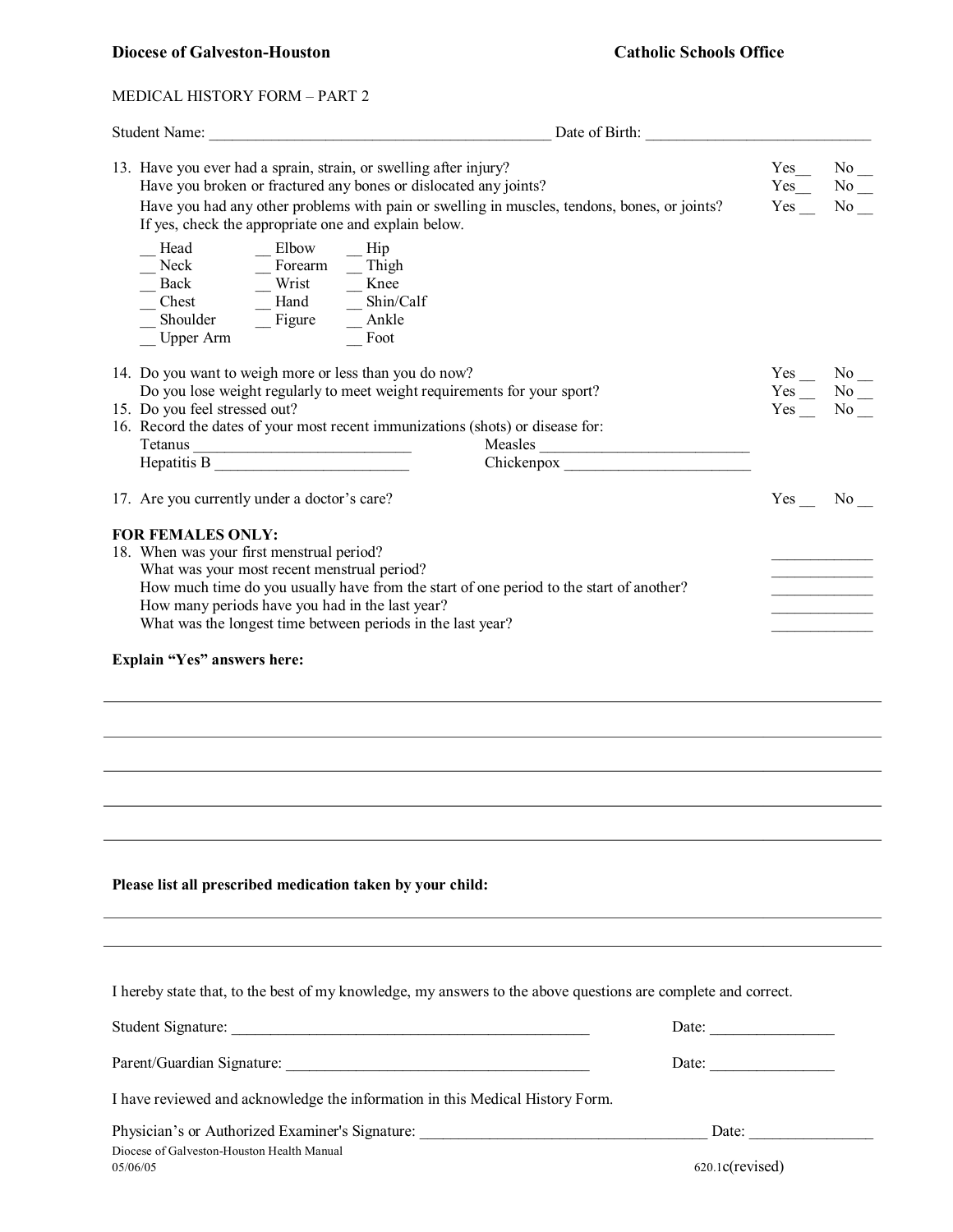## **Diocese** of Galveston-Houston **Catholic** Schools Office

### MEDICAL HISTORY FORM – PART 2

|                                                                                                                                                                                                                                                                                                                                                                                                                                                                                                                                                                                                             | Date of Birth:                                                                                                                                                   |                                                                                                                                                                                                                                                                                                                                                                                                                                                   |                                      |
|-------------------------------------------------------------------------------------------------------------------------------------------------------------------------------------------------------------------------------------------------------------------------------------------------------------------------------------------------------------------------------------------------------------------------------------------------------------------------------------------------------------------------------------------------------------------------------------------------------------|------------------------------------------------------------------------------------------------------------------------------------------------------------------|---------------------------------------------------------------------------------------------------------------------------------------------------------------------------------------------------------------------------------------------------------------------------------------------------------------------------------------------------------------------------------------------------------------------------------------------------|--------------------------------------|
| 13. Have you ever had a sprain, strain, or swelling after injury?<br>If yes, check the appropriate one and explain below.                                                                                                                                                                                                                                                                                                                                                                                                                                                                                   | Have you broken or fractured any bones or dislocated any joints?<br>Have you had any other problems with pain or swelling in muscles, tendons, bones, or joints? | Yes<br>$Yes$ <sub>__</sub>                                                                                                                                                                                                                                                                                                                                                                                                                        | $No$ <sub>—</sub><br>No No<br>Yes No |
| Elbow<br>Head<br>└─Neck<br>├─Back<br>└─Chest<br>$\frac{\text{7}}{\text{7}} = \frac{\text{7}}{\text{7}} = \frac{\text{7}}{\text{7}} = \frac{\text{7}}{\text{7}} = \frac{\text{7}}{\text{7}} = \frac{\text{7}}{\text{7}} = \frac{\text{7}}{\text{7}} = \frac{\text{7}}{\text{7}} = \frac{\text{7}}{\text{7}} = \frac{\text{7}}{\text{7}} = \frac{\text{7}}{\text{7}} = \frac{\text{7}}{\text{7}} = \frac{\text{7}}{\text{7}} = \frac{\text{7}}{\text{7}} = \frac{\text{7}}{\text{7}} = \frac{\text{7}}{\text{7}} = \frac{\text{7}}{\text{7}}$<br>Shoulder $\overline{\phantom{a}}$ Figure<br><b>Upper Arm</b> | $-$ Hip<br>Shin/Calf<br>Ankle<br>Foot                                                                                                                            |                                                                                                                                                                                                                                                                                                                                                                                                                                                   |                                      |
| 14. Do you want to weigh more or less than you do now?                                                                                                                                                                                                                                                                                                                                                                                                                                                                                                                                                      | Do you lose weight regularly to meet weight requirements for your sport?                                                                                         | $Yes$ No $\_\$                                                                                                                                                                                                                                                                                                                                                                                                                                    |                                      |
| 15. Do you feel stressed out?                                                                                                                                                                                                                                                                                                                                                                                                                                                                                                                                                                               | 16. Record the dates of your most recent immunizations (shots) or disease for:<br>Measles                                                                        | $Yes$ No _<br>Yes No                                                                                                                                                                                                                                                                                                                                                                                                                              |                                      |
|                                                                                                                                                                                                                                                                                                                                                                                                                                                                                                                                                                                                             |                                                                                                                                                                  |                                                                                                                                                                                                                                                                                                                                                                                                                                                   |                                      |
| 17. Are you currently under a doctor's care?                                                                                                                                                                                                                                                                                                                                                                                                                                                                                                                                                                |                                                                                                                                                                  |                                                                                                                                                                                                                                                                                                                                                                                                                                                   | No                                   |
| How many periods have you had in the last year?<br>What was the longest time between periods in the last year?<br>Explain "Yes" answers here:                                                                                                                                                                                                                                                                                                                                                                                                                                                               |                                                                                                                                                                  |                                                                                                                                                                                                                                                                                                                                                                                                                                                   |                                      |
| Please list all prescribed medication taken by your child:                                                                                                                                                                                                                                                                                                                                                                                                                                                                                                                                                  |                                                                                                                                                                  |                                                                                                                                                                                                                                                                                                                                                                                                                                                   |                                      |
|                                                                                                                                                                                                                                                                                                                                                                                                                                                                                                                                                                                                             | I hereby state that, to the best of my knowledge, my answers to the above questions are complete and correct.                                                    |                                                                                                                                                                                                                                                                                                                                                                                                                                                   |                                      |
|                                                                                                                                                                                                                                                                                                                                                                                                                                                                                                                                                                                                             |                                                                                                                                                                  | Date: $\frac{1}{\sqrt{1-\frac{1}{2}} \cdot \frac{1}{2} \cdot \frac{1}{2} \cdot \frac{1}{2} \cdot \frac{1}{2} \cdot \frac{1}{2} \cdot \frac{1}{2} \cdot \frac{1}{2} \cdot \frac{1}{2} \cdot \frac{1}{2} \cdot \frac{1}{2} \cdot \frac{1}{2} \cdot \frac{1}{2} \cdot \frac{1}{2} \cdot \frac{1}{2} \cdot \frac{1}{2} \cdot \frac{1}{2} \cdot \frac{1}{2} \cdot \frac{1}{2} \cdot \frac{1}{2} \cdot \frac{1}{2} \cdot \frac{1}{2} \cdot \frac{1}{2}$ |                                      |
|                                                                                                                                                                                                                                                                                                                                                                                                                                                                                                                                                                                                             |                                                                                                                                                                  | Date: $\frac{1}{\sqrt{1-\frac{1}{2}} \cdot \frac{1}{2}}$                                                                                                                                                                                                                                                                                                                                                                                          |                                      |
|                                                                                                                                                                                                                                                                                                                                                                                                                                                                                                                                                                                                             | I have reviewed and acknowledge the information in this Medical History Form.                                                                                    |                                                                                                                                                                                                                                                                                                                                                                                                                                                   |                                      |
|                                                                                                                                                                                                                                                                                                                                                                                                                                                                                                                                                                                                             | Physician's or Authorized Examiner's Signature: _________________________________                                                                                | Date:                                                                                                                                                                                                                                                                                                                                                                                                                                             |                                      |
| Diocese of Galveston-Houston Health Manual<br>05/06/05                                                                                                                                                                                                                                                                                                                                                                                                                                                                                                                                                      | 620.1c(revised)                                                                                                                                                  |                                                                                                                                                                                                                                                                                                                                                                                                                                                   |                                      |